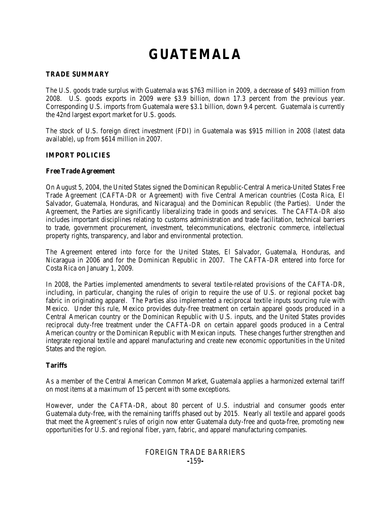# **GUATEMALA**

#### **TRADE SUMMARY**

The U.S. goods trade surplus with Guatemala was \$763 million in 2009, a decrease of \$493 million from 2008. U.S. goods exports in 2009 were \$3.9 billion, down 17.3 percent from the previous year. Corresponding U.S. imports from Guatemala were \$3.1 billion, down 9.4 percent. Guatemala is currently the 42nd largest export market for U.S. goods.

The stock of U.S. foreign direct investment (FDI) in Guatemala was \$915 million in 2008 (latest data available), up from \$614 million in 2007.

#### **IMPORT POLICIES**

#### **Free Trade Agreement**

On August 5, 2004, the United States signed the Dominican Republic-Central America-United States Free Trade Agreement (CAFTA-DR or Agreement) with five Central American countries (Costa Rica, El Salvador, Guatemala, Honduras, and Nicaragua) and the Dominican Republic (the Parties). Under the Agreement, the Parties are significantly liberalizing trade in goods and services. The CAFTA-DR also includes important disciplines relating to customs administration and trade facilitation, technical barriers to trade, government procurement, investment, telecommunications, electronic commerce, intellectual property rights, transparency, and labor and environmental protection.

The Agreement entered into force for the United States, El Salvador, Guatemala, Honduras, and Nicaragua in 2006 and for the Dominican Republic in 2007. The CAFTA-DR entered into force for Costa Rica on January 1, 2009.

In 2008, the Parties implemented amendments to several textile-related provisions of the CAFTA-DR, including, in particular, changing the rules of origin to require the use of U.S. or regional pocket bag fabric in originating apparel. The Parties also implemented a reciprocal textile inputs sourcing rule with Mexico. Under this rule, Mexico provides duty-free treatment on certain apparel goods produced in a Central American country or the Dominican Republic with U.S. inputs, and the United States provides reciprocal duty-free treatment under the CAFTA-DR on certain apparel goods produced in a Central American country or the Dominican Republic with Mexican inputs. These changes further strengthen and integrate regional textile and apparel manufacturing and create new economic opportunities in the United States and the region.

# **Tariffs**

As a member of the Central American Common Market, Guatemala applies a harmonized external tariff on most items at a maximum of 15 percent with some exceptions.

However, under the CAFTA-DR, about 80 percent of U.S. industrial and consumer goods enter Guatemala duty-free, with the remaining tariffs phased out by 2015. Nearly all textile and apparel goods that meet the Agreement's rules of origin now enter Guatemala duty-free and quota-free, promoting new opportunities for U.S. and regional fiber, yarn, fabric, and apparel manufacturing companies.

# FOREIGN TRADE BARRIERS **-**159**-**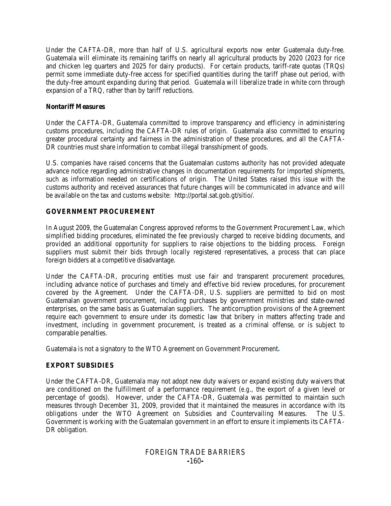Under the CAFTA-DR, more than half of U.S. agricultural exports now enter Guatemala duty-free. Guatemala will eliminate its remaining tariffs on nearly all agricultural products by 2020 (2023 for rice and chicken leg quarters and 2025 for dairy products). For certain products, tariff-rate quotas (TRQs) permit some immediate duty-free access for specified quantities during the tariff phase out period, with the duty-free amount expanding during that period. Guatemala will liberalize trade in white corn through expansion of a TRQ, rather than by tariff reductions.

#### **Nontariff Measures**

Under the CAFTA-DR, Guatemala committed to improve transparency and efficiency in administering customs procedures, including the CAFTA-DR rules of origin. Guatemala also committed to ensuring greater procedural certainty and fairness in the administration of these procedures, and all the CAFTA-DR countries must share information to combat illegal transshipment of goods.

U.S. companies have raised concerns that the Guatemalan customs authority has not provided adequate advance notice regarding administrative changes in documentation requirements for imported shipments, such as information needed on certifications of origin. The United States raised this issue with the customs authority and received assurances that future changes will be communicated in advance and will be available on the tax and customs website: http://portal.sat.gob.gt/sitio/.

#### **GOVERNMENT PROCUREMENT**

In August 2009, the Guatemalan Congress approved reforms to the Government Procurement Law, which simplified bidding procedures, eliminated the fee previously charged to receive bidding documents, and provided an additional opportunity for suppliers to raise objections to the bidding process. Foreign suppliers must submit their bids through locally registered representatives, a process that can place foreign bidders at a competitive disadvantage.

Under the CAFTA-DR, procuring entities must use fair and transparent procurement procedures, including advance notice of purchases and timely and effective bid review procedures, for procurement covered by the Agreement. Under the CAFTA-DR, U.S. suppliers are permitted to bid on most Guatemalan government procurement, including purchases by government ministries and state-owned enterprises, on the same basis as Guatemalan suppliers. The anticorruption provisions of the Agreement require each government to ensure under its domestic law that bribery in matters affecting trade and investment, including in government procurement, is treated as a criminal offense, or is subject to comparable penalties.

Guatemala is not a signatory to the WTO Agreement on Government Procurement**.**

# **EXPORT SUBSIDIES**

Under the CAFTA-DR, Guatemala may not adopt new duty waivers or expand existing duty waivers that are conditioned on the fulfillment of a performance requirement (*e.g.*, the export of a given level or percentage of goods). However, under the CAFTA-DR, Guatemala was permitted to maintain such measures through December 31, 2009, provided that it maintained the measures in accordance with its obligations under the WTO Agreement on Subsidies and Countervailing Measures. The U.S. Government is working with the Guatemalan government in an effort to ensure it implements its CAFTA-DR obligation.

# FOREIGN TRADE BARRIERS **-**160**-**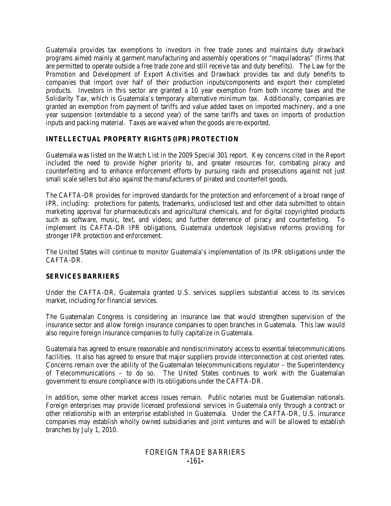Guatemala provides tax exemptions to investors in free trade zones and maintains duty drawback programs aimed mainly at garment manufacturing and assembly operations or "maquiladoras" (firms that are permitted to operate outside a free trade zone and still receive tax and duty benefits). The Law for the Promotion and Development of Export Activities and Drawback provides tax and duty benefits to companies that import over half of their production inputs/components and export their completed products. Investors in this sector are granted a 10 year exemption from both income taxes and the Solidarity Tax, which is Guatemala's temporary alternative minimum tax. Additionally, companies are granted an exemption from payment of tariffs and value added taxes on imported machinery, and a one year suspension (extendable to a second year) of the same tariffs and taxes on imports of production inputs and packing material. Taxes are waived when the goods are re-exported.

# **INTELLECTUAL PROPERTY RIGHTS (IPR) PROTECTION**

Guatemala was listed on the Watch List in the 2009 Special 301 report. Key concerns cited in the Report included the need to provide higher priority to, and greater resources for, combating piracy and counterfeiting and to enhance enforcement efforts by pursuing raids and prosecutions against not just small scale sellers but also against the manufacturers of pirated and counterfeit goods.

The CAFTA-DR provides for improved standards for the protection and enforcement of a broad range of IPR, including: protections for patents, trademarks, undisclosed test and other data submitted to obtain marketing approval for pharmaceuticals and agricultural chemicals, and for digital copyrighted products such as software, music, text, and videos; and further deterrence of piracy and counterfeiting. To implement its CAFTA-DR IPR obligations, Guatemala undertook legislative reforms providing for stronger IPR protection and enforcement.

The United States will continue to monitor Guatemala's implementation of its IPR obligations under the CAFTA-DR.

# **SERVICES BARRIERS**

Under the CAFTA-DR, Guatemala granted U.S. services suppliers substantial access to its services market, including for financial services.

The Guatemalan Congress is considering an insurance law that would strengthen supervision of the insurance sector and allow foreign insurance companies to open branches in Guatemala. This law would also require foreign insurance companies to fully capitalize in Guatemala.

Guatemala has agreed to ensure reasonable and nondiscriminatory access to essential telecommunications facilities. It also has agreed to ensure that major suppliers provide interconnection at cost oriented rates. Concerns remain over the ability of the Guatemalan telecommunications regulator – the Superintendency of Telecommunications – to do so. The United States continues to work with the Guatemalan government to ensure compliance with its obligations under the CAFTA-DR.

In addition, some other market access issues remain. Public notaries must be Guatemalan nationals. Foreign enterprises may provide licensed professional services in Guatemala only through a contract or other relationship with an enterprise established in Guatemala. Under the CAFTA-DR, U.S. insurance companies may establish wholly owned subsidiaries and joint ventures and will be allowed to establish branches by July 1, 2010.

# FOREIGN TRADE BARRIERS **-**161**-**